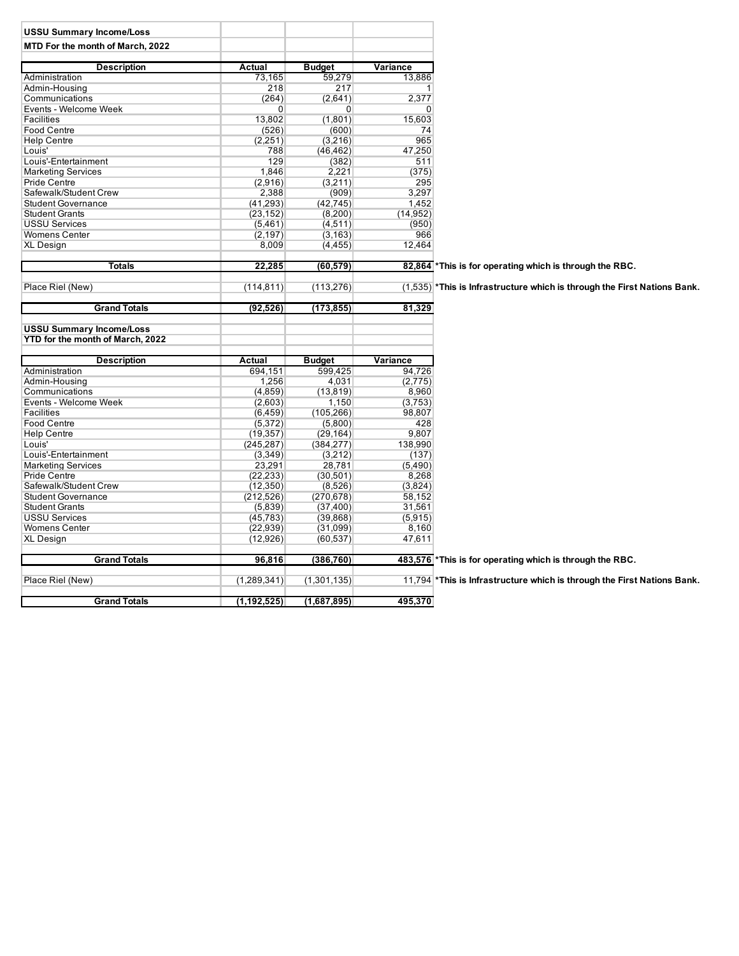| <b>USSU Summary Income/Loss</b>  |                |                |           |                                                                            |
|----------------------------------|----------------|----------------|-----------|----------------------------------------------------------------------------|
| MTD For the month of March, 2022 |                |                |           |                                                                            |
|                                  |                |                |           |                                                                            |
| <b>Description</b>               | Actual         | <b>Budget</b>  | Variance  |                                                                            |
| Administration                   | 73,165         | 59,279         | 13,886    |                                                                            |
| Admin-Housing                    | 218            | 217            | 1         |                                                                            |
| Communications                   | (264)          | (2,641)        | 2,377     |                                                                            |
| Events - Welcome Week            | $\overline{0}$ | $\overline{0}$ | 0         |                                                                            |
| <b>Facilities</b>                | 13,802         | (1,801)        | 15,603    |                                                                            |
| <b>Food Centre</b>               | (526)          | (600)          | 74        |                                                                            |
| <b>Help Centre</b>               | (2,251)        | (3,216)        | 965       |                                                                            |
| Louis'                           | 788            | (46, 462)      | 47,250    |                                                                            |
| Louis'-Entertainment             | 129            | (382)          | 511       |                                                                            |
| <b>Marketing Services</b>        | 1,846          | 2,221          | (375)     |                                                                            |
| <b>Pride Centre</b>              | (2,916)        | (3,211)        | 295       |                                                                            |
| Safewalk/Student Crew            | 2,388          | (909)          | 3,297     |                                                                            |
| <b>Student Governance</b>        | (41, 293)      | (42, 745)      | 1,452     |                                                                            |
| <b>Student Grants</b>            | (23, 152)      | (8,200)        | (14, 952) |                                                                            |
| <b>USSU Services</b>             | (5,461)        | (4, 511)       | (950)     |                                                                            |
| <b>Womens Center</b>             |                |                | 966       |                                                                            |
| <b>XL Design</b>                 | (2, 197)       | (3, 163)       | 12,464    |                                                                            |
|                                  | 8,009          | (4, 455)       |           |                                                                            |
| <b>Totals</b>                    | 22,285         | (60, 579)      |           | 82,864 * This is for operating which is through the RBC.                   |
|                                  |                |                |           |                                                                            |
| Place Riel (New)                 | (114, 811)     | (113, 276)     |           | $(1,535)$ *This is Infrastructure which is through the First Nations Bank. |
|                                  |                |                |           |                                                                            |
| <b>Grand Totals</b>              | (92, 526)      | (173, 855)     | 81,329    |                                                                            |
| <b>USSU Summary Income/Loss</b>  |                |                |           |                                                                            |
| YTD for the month of March, 2022 |                |                |           |                                                                            |
|                                  |                |                |           |                                                                            |
| <b>Description</b>               | Actual         | <b>Budget</b>  | Variance  |                                                                            |
| Administration                   | 694,151        | 599.425        | 94,726    |                                                                            |
| Admin-Housing                    | 1,256          | 4,031          | (2,775)   |                                                                            |
| Communications                   | (4,859)        | (13, 819)      | 8,960     |                                                                            |
| Events - Welcome Week            | (2,603)        | 1,150          | (3,753)   |                                                                            |
| Facilities                       | (6, 459)       | (105, 266)     | 98,807    |                                                                            |
| <b>Food Centre</b>               | (5,372)        | (5,800)        | 428       |                                                                            |
| <b>Help Centre</b>               | (19, 357)      | (29, 164)      | 9,807     |                                                                            |
| Louis'                           | (245, 287)     | (384, 277)     | 138,990   |                                                                            |
| Louis'-Entertainment             | (3,349)        | (3,212)        | (137)     |                                                                            |
| <b>Marketing Services</b>        | 23,291         | 28,781         | (5,490)   |                                                                            |
| <b>Pride Centre</b>              | (22, 233)      | (30, 501)      | 8,268     |                                                                            |
| Safewalk/Student Crew            | (12,350)       | (8,526)        | (3,824)   |                                                                            |
| <b>Student Governance</b>        | (212, 526)     | (270, 678)     | 58,152    |                                                                            |
| <b>Student Grants</b>            | (5,839)        | (37, 400)      | 31,561    |                                                                            |
| <b>USSU Services</b>             | (45, 783)      | (39, 868)      | (5,915)   |                                                                            |
| Womens Center                    | (22, 939)      | (31,099)       | 8,160     |                                                                            |
|                                  |                |                |           |                                                                            |
| <b>XL Design</b>                 | (12,926)       | (60, 537)      | 47,611    |                                                                            |
| <b>Grand Totals</b>              | 96,816         | (386,760)      |           | 483,576 *This is for operating which is through the RBC.                   |
|                                  |                |                |           |                                                                            |
| Place Riel (New)                 | (1, 289, 341)  | (1,301,135)    |           | 11,794 *This is Infrastructure which is through the First Nations Bank.    |
| <b>Grand Totals</b>              | (1, 192, 525)  | (1,687,895)    | 495,370   |                                                                            |
|                                  |                |                |           |                                                                            |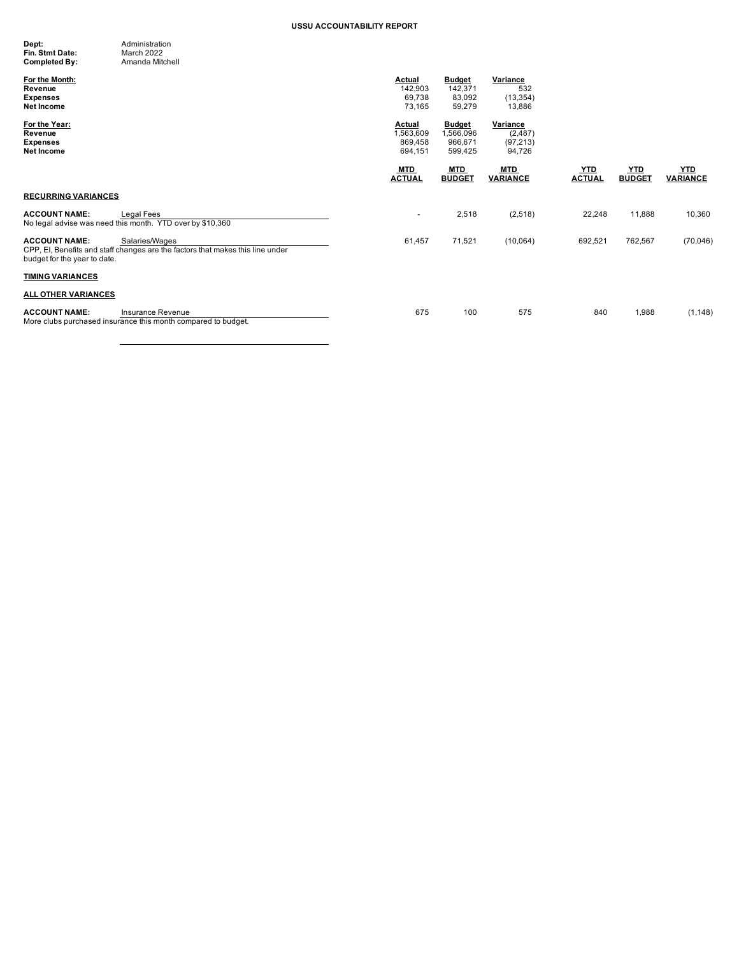| Dept:           | Administration  |
|-----------------|-----------------|
| Fin. Stmt Date: | March 2022      |
| Completed By:   | Amanda Mitchell |

| For the Month:<br>Revenue<br><b>Expenses</b><br>Net Income                                                                                               | <b>Actual</b><br>142,903<br>69,738<br>73,165 | <b>Budget</b><br>142,371<br>83,092<br>59,279     | Variance<br>532<br>(13, 354)<br>13,886      |                             |                             |                               |
|----------------------------------------------------------------------------------------------------------------------------------------------------------|----------------------------------------------|--------------------------------------------------|---------------------------------------------|-----------------------------|-----------------------------|-------------------------------|
| For the Year:<br>Revenue<br><b>Expenses</b><br>Net Income                                                                                                | Actual<br>,563,609<br>869,458<br>694,151     | <b>Budget</b><br>1,566,096<br>966,671<br>599,425 | Variance<br>(2, 487)<br>(97, 213)<br>94,726 |                             |                             |                               |
|                                                                                                                                                          | <b>MTD</b><br><b>ACTUAL</b>                  | MTD<br><b>BUDGET</b>                             | <b>MTD</b><br><b>VARIANCE</b>               | <b>YTD</b><br><b>ACTUAL</b> | <u>YTD</u><br><b>BUDGET</b> | <u>YTD</u><br><b>VARIANCE</b> |
| <b>RECURRING VARIANCES</b>                                                                                                                               |                                              |                                                  |                                             |                             |                             |                               |
| Legal Fees<br><b>ACCOUNT NAME:</b><br>No legal advise was need this month. YTD over by \$10,360                                                          | $\overline{\phantom{a}}$                     | 2,518                                            | (2,518)                                     | 22,248                      | 11,888                      | 10,360                        |
| <b>ACCOUNT NAME:</b><br>Salaries/Wages<br>CPP, EI, Benefits and staff changes are the factors that makes this line under<br>budget for the year to date. | 61,457                                       | 71,521                                           | (10,064)                                    | 692,521                     | 762,567                     | (70,046)                      |
| <b>TIMING VARIANCES</b>                                                                                                                                  |                                              |                                                  |                                             |                             |                             |                               |
| <b>ALL OTHER VARIANCES</b>                                                                                                                               |                                              |                                                  |                                             |                             |                             |                               |
| <b>ACCOUNT NAME:</b><br>Insurance Revenue<br>More clubs purchased insurance this month compared to budget.                                               | 675                                          | 100                                              | 575                                         | 840                         | 1,988                       | (1, 148)                      |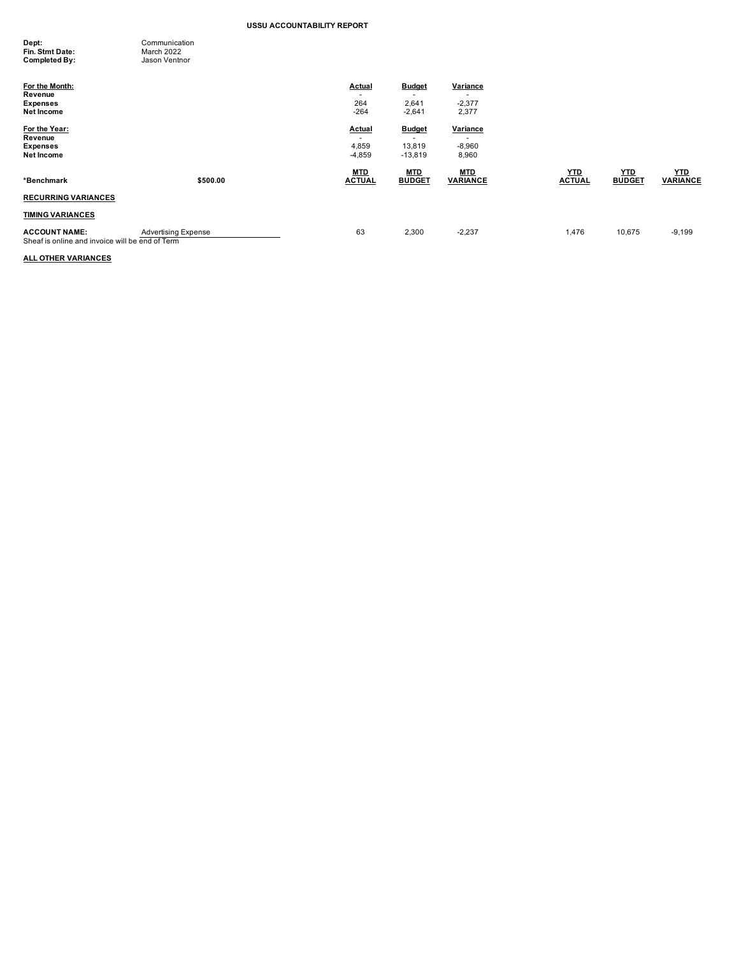| Dept:           | Communication |
|-----------------|---------------|
| Fin. Stmt Date: | March 2022    |
| Completed By:   | Jason Ventnor |

| For the Month:<br>Revenue<br><b>Expenses</b><br>Net Income              |                            | <b>Actual</b><br>-<br>264<br>$-264$           | <b>Budget</b><br>2,641<br>$-2,641$   | Variance<br>$-2,377$<br>2,377                             |                             |                             |                               |
|-------------------------------------------------------------------------|----------------------------|-----------------------------------------------|--------------------------------------|-----------------------------------------------------------|-----------------------------|-----------------------------|-------------------------------|
| For the Year:<br>Revenue<br><b>Expenses</b><br>Net Income               |                            | Actual<br>$\overline{a}$<br>4,859<br>$-4,859$ | <b>Budget</b><br>13,819<br>$-13,819$ | Variance<br>$\overline{\phantom{0}}$<br>$-8,960$<br>8,960 |                             |                             |                               |
| *Benchmark                                                              | \$500.00                   | <b>MTD</b><br><b>ACTUAL</b>                   | <b>MTD</b><br><b>BUDGET</b>          | <b>MTD</b><br><b>VARIANCE</b>                             | <u>YTD</u><br><b>ACTUAL</b> | <u>YTD</u><br><b>BUDGET</b> | <b>YTD</b><br><b>VARIANCE</b> |
| <b>RECURRING VARIANCES</b>                                              |                            |                                               |                                      |                                                           |                             |                             |                               |
| <b>TIMING VARIANCES</b>                                                 |                            |                                               |                                      |                                                           |                             |                             |                               |
| <b>ACCOUNT NAME:</b><br>Sheaf is online and invoice will be end of Term | <b>Advertising Expense</b> | 63                                            | 2,300                                | $-2,237$                                                  | 1,476                       | 10,675                      | $-9,199$                      |

# **ALL OTHER VARIANCES**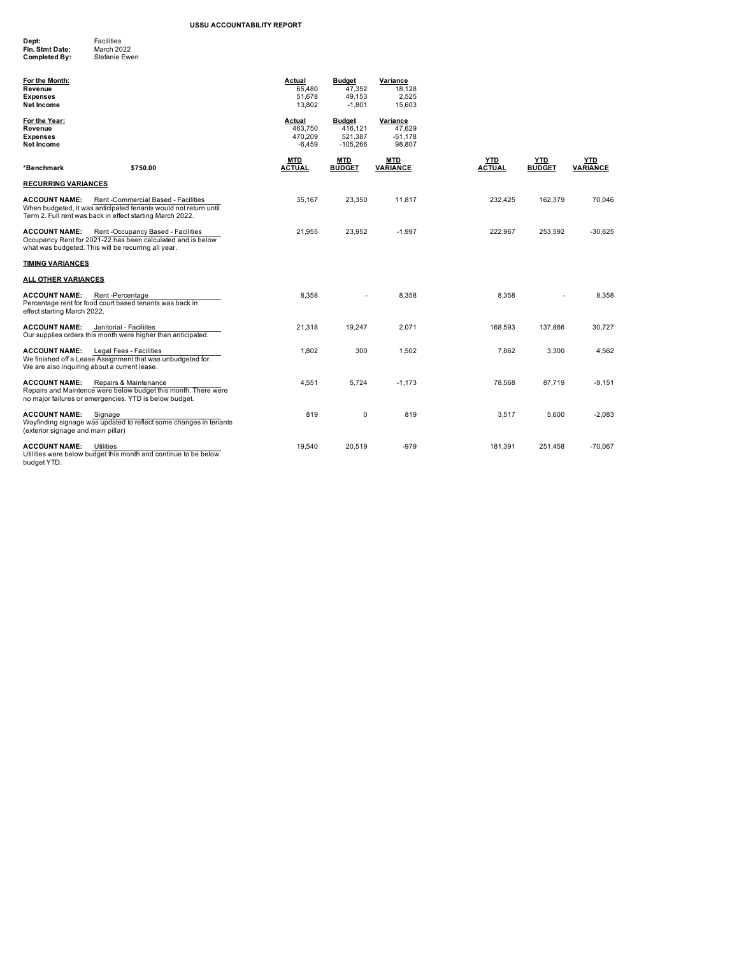| Dept:           | <b>Facilities</b> |
|-----------------|-------------------|
| Fin. Stmt Date: | March 2022        |
| Completed By:   | Stefanie Ewen     |
|                 |                   |

| For the Month:<br>Revenue<br><b>Expenses</b><br><b>Net Income</b>    |                                                                                                                                                                     | <b>Actual</b><br>65.480<br>51.678<br>13.802 | <b>Budget</b><br>47.352<br>49,153<br>$-1,801$     | Variance<br>18,128<br>2,525<br>15,603     |                             |                             |                        |
|----------------------------------------------------------------------|---------------------------------------------------------------------------------------------------------------------------------------------------------------------|---------------------------------------------|---------------------------------------------------|-------------------------------------------|-----------------------------|-----------------------------|------------------------|
| For the Year:<br>Revenue<br><b>Expenses</b><br><b>Net Income</b>     |                                                                                                                                                                     | Actual<br>463,750<br>470.209<br>$-6,459$    | <b>Budget</b><br>416,121<br>521,387<br>$-105,266$ | Variance<br>47,629<br>$-51,178$<br>98,807 |                             |                             |                        |
| *Benchmark                                                           | \$750.00                                                                                                                                                            | <b>MTD</b><br><b>ACTUAL</b>                 | <b>MTD</b><br><b>BUDGET</b>                       | <b>MTD</b><br><b>VARIANCE</b>             | <b>YTD</b><br><b>ACTUAL</b> | <b>YTD</b><br><b>BUDGET</b> | <b>YTD</b><br>VARIANCE |
| <b>RECURRING VARIANCES</b>                                           |                                                                                                                                                                     |                                             |                                                   |                                           |                             |                             |                        |
| <b>ACCOUNT NAME:</b>                                                 | Rent-Commercial Based - Facilities<br>When budgeted, it was anticipated tenants would not return until<br>Term 2. Full rent was back in effect starting March 2022. | 35.167                                      | 23,350                                            | 11,817                                    | 232,425                     | 162,379                     | 70,046                 |
| <b>ACCOUNT NAME:</b>                                                 | Rent-Occupancy Based - Facilities<br>Occupancy Rent for 2021-22 has been calculated and is below<br>what was budgeted. This will be recurring all year.             | 21,955                                      | 23,952                                            | $-1,997$                                  | 222,967                     | 253,592                     | $-30,625$              |
| <b>TIMING VARIANCES</b>                                              |                                                                                                                                                                     |                                             |                                                   |                                           |                             |                             |                        |
| ALL OTHER VARIANCES                                                  |                                                                                                                                                                     |                                             |                                                   |                                           |                             |                             |                        |
| <b>ACCOUNT NAME:</b><br>effect starting March 2022.                  | Rent-Percentage<br>Percentage rent for food court based tenants was back in                                                                                         | 8,358                                       |                                                   | 8,358                                     | 8,358                       |                             | 8,358                  |
| <b>ACCOUNT NAME:</b>                                                 | Janitorial - Faciliites<br>Our supplies orders this month were higher than anticipated.                                                                             | 21,318                                      | 19,247                                            | 2,071                                     | 168,593                     | 137,866                     | 30,727                 |
| <b>ACCOUNT NAME:</b><br>We are also inquiring about a current lease. | Legal Fees - Facilities<br>We finished off a Lease Assignment that was unbudgeted for.                                                                              | 1,802                                       | 300                                               | 1,502                                     | 7,862                       | 3,300                       | 4,562                  |
| <b>ACCOUNT NAME:</b>                                                 | Repairs & Maintenance<br>Repairs and Maintence were below budget this month. There were<br>no major failures or emergencies. YTD is below budget.                   | 4,551                                       | 5,724                                             | $-1,173$                                  | 78,568                      | 87,719                      | $-9,151$               |
| <b>ACCOUNT NAME:</b><br>(exterior signage and main pillar)           | Signage<br>Wayfinding signage was updated to reflect some changes in tenants                                                                                        | 819                                         | 0                                                 | 819                                       | 3,517                       | 5,600                       | $-2,083$               |
| <b>ACCOUNT NAME:</b>                                                 | Utilities<br>Utilities were below budget this month and continue to be below                                                                                        | 19,540                                      | 20,519                                            | $-979$                                    | 181.391                     | 251,458                     | $-70,067$              |

budget YTD. v budge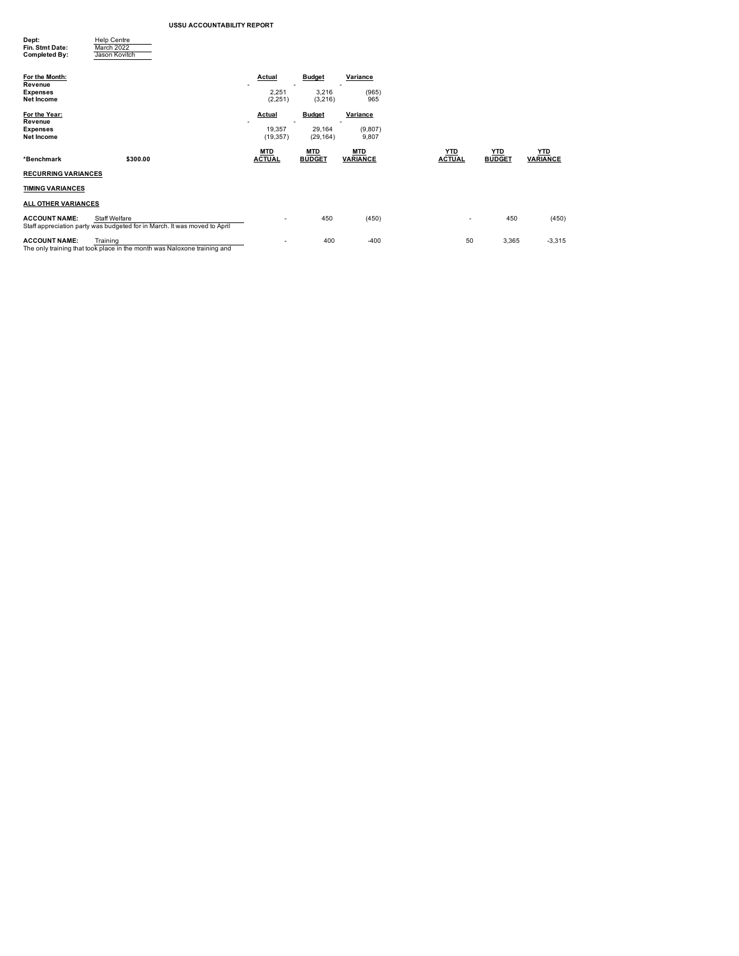| Dept:<br>Fin. Stmt Date:<br><b>Completed By:</b> | <b>Help Centre</b><br>March 2022<br>Jason Kovitch                                                 |                     |                     |                  |               |               |                 |
|--------------------------------------------------|---------------------------------------------------------------------------------------------------|---------------------|---------------------|------------------|---------------|---------------|-----------------|
| For the Month:<br>Revenue                        |                                                                                                   | Actual              | <b>Budget</b>       | Variance         |               |               |                 |
| <b>Expenses</b><br><b>Net Income</b>             |                                                                                                   | 2,251<br>(2,251)    | 3,216<br>(3,216)    | (965)<br>965     |               |               |                 |
| For the Year:<br>Revenue                         |                                                                                                   | <b>Actual</b>       | <b>Budget</b>       | Variance         |               |               |                 |
| <b>Expenses</b><br><b>Net Income</b>             |                                                                                                   | 19,357<br>(19, 357) | 29,164<br>(29, 164) | (9,807)<br>9,807 |               |               |                 |
|                                                  |                                                                                                   | <b>MTD</b>          | <b>MTD</b>          | <b>MTD</b>       | <u>YTD</u>    | <u>YTD</u>    | <b>YTD</b>      |
| *Benchmark                                       | \$300.00                                                                                          | <b>ACTUAL</b>       | <b>BUDGET</b>       | <b>VARIANCE</b>  | <b>ACTUAL</b> | <b>BUDGET</b> | <b>VARIANCE</b> |
| <b>RECURRING VARIANCES</b>                       |                                                                                                   |                     |                     |                  |               |               |                 |
| <b>TIMING VARIANCES</b>                          |                                                                                                   |                     |                     |                  |               |               |                 |
| ALL OTHER VARIANCES                              |                                                                                                   |                     |                     |                  |               |               |                 |
| <b>ACCOUNT NAME:</b>                             | <b>Staff Welfare</b><br>Staff appreciation party was budgeted for in March. It was moved to April |                     | 450                 | (450)            |               | 450           | (450)           |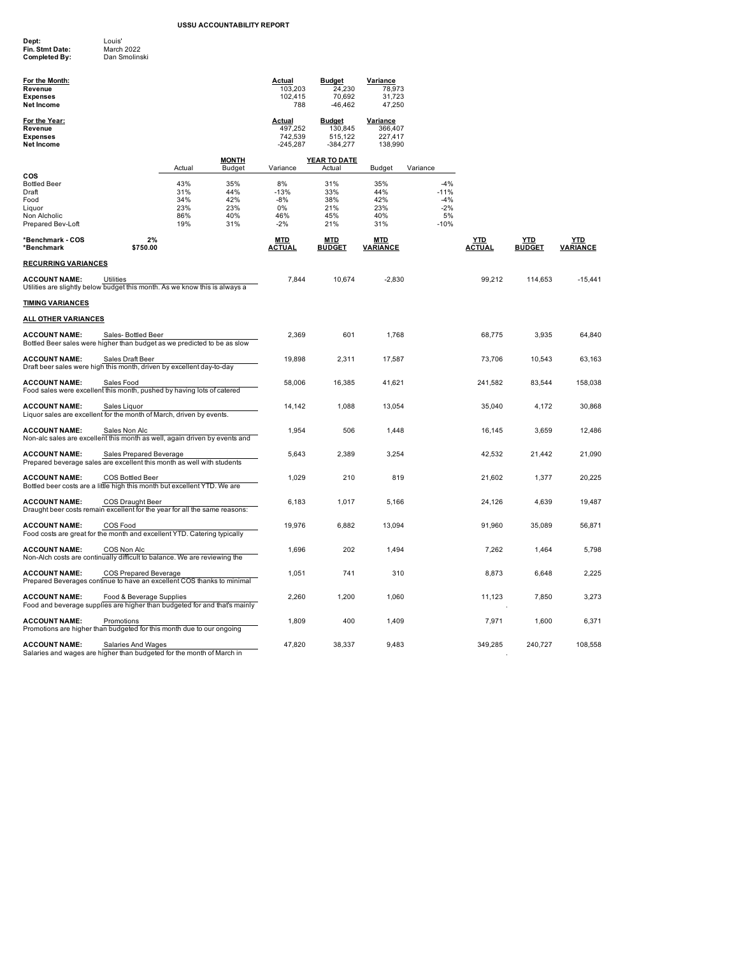| Dept:           | Louis'        |
|-----------------|---------------|
| Fin. Stmt Date: | March 2022    |
| Completed By:   | Dan Smolinski |

| For the Month:<br>Revenue<br><b>Expenses</b><br>Net Income                                          |                              |                                        |                                        | <b>Actual</b><br>103,203<br>102,415<br>788  | <b>Budget</b><br>24,230<br>70,692<br>$-46, 462$   | Variance<br>78,973<br>31,723<br>47,250           |                                                   |                             |                      |                        |
|-----------------------------------------------------------------------------------------------------|------------------------------|----------------------------------------|----------------------------------------|---------------------------------------------|---------------------------------------------------|--------------------------------------------------|---------------------------------------------------|-----------------------------|----------------------|------------------------|
| For the Year:<br>Revenue<br><b>Expenses</b><br>Net Income                                           |                              |                                        |                                        | Actual<br>497,252<br>742,539<br>$-245,287$  | <b>Budget</b><br>130,845<br>515,122<br>$-384,277$ | <b>Variance</b><br>366,407<br>227,417<br>138,990 |                                                   |                             |                      |                        |
|                                                                                                     |                              | Actual                                 | <b>MONTH</b><br>Budget                 | Variance                                    | YEAR TO DATE<br>Actual                            | <b>Budget</b>                                    | Variance                                          |                             |                      |                        |
| cos<br><b>Bottled Beer</b><br>Draft<br>Food<br>Liquor<br>Non Alcholic<br>Prepared Bev-Loft          |                              | 43%<br>31%<br>34%<br>23%<br>86%<br>19% | 35%<br>44%<br>42%<br>23%<br>40%<br>31% | 8%<br>$-13%$<br>$-8%$<br>0%<br>46%<br>$-2%$ | 31%<br>33%<br>38%<br>21%<br>45%<br>21%            | 35%<br>44%<br>42%<br>23%<br>40%<br>31%           | $-4%$<br>$-11%$<br>$-4%$<br>$-2%$<br>5%<br>$-10%$ |                             |                      |                        |
| *Benchmark - COS<br>*Benchmark                                                                      | 2%<br>\$750.00               |                                        |                                        | MTD<br><b>ACTUAL</b>                        | MTD<br><b>BUDGET</b>                              | MTD<br><b>VARIANCE</b>                           |                                                   | <u>YTD</u><br><b>ACTUAL</b> | YTD<br><b>BUDGET</b> | YTD<br><b>VARIANCE</b> |
| <u>RECURRING VARIANCES</u>                                                                          |                              |                                        |                                        |                                             |                                                   |                                                  |                                                   |                             |                      |                        |
| <b>ACCOUNT NAME:</b><br>Utilities are slightly below budget this month. As we know this is always a | Utilities                    |                                        |                                        | 7,844                                       | 10,674                                            | $-2,830$                                         |                                                   | 99,212                      | 114,653              | $-15,441$              |
| <u>TIMING VARIANCES</u>                                                                             |                              |                                        |                                        |                                             |                                                   |                                                  |                                                   |                             |                      |                        |
| <u>ALL OTHER VARIANCES</u>                                                                          |                              |                                        |                                        |                                             |                                                   |                                                  |                                                   |                             |                      |                        |
| <b>ACCOUNT NAME:</b><br>Bottled Beer sales were higher than budget as we predicted to be as slow    | Sales-Bottled Beer           |                                        |                                        | 2.369                                       | 601                                               | 1,768                                            |                                                   | 68,775                      | 3,935                | 64,840                 |
| <b>ACCOUNT NAME:</b><br>Draft beer sales were high this month, driven by excellent day-to-day       | Sales Draft Beer             |                                        |                                        | 19,898                                      | 2,311                                             | 17,587                                           |                                                   | 73,706                      | 10,543               | 63,163                 |
| <b>ACCOUNT NAME:</b><br>Food sales were excellent this month, pushed by having lots of catered      | Sales Food                   |                                        |                                        | 58,006                                      | 16,385                                            | 41,621                                           |                                                   | 241,582                     | 83,544               | 158,038                |
| <b>ACCOUNT NAME:</b><br>Liquor sales are excellent for the month of March, driven by events.        | Sales Liquor                 |                                        |                                        | 14,142                                      | 1,088                                             | 13,054                                           |                                                   | 35,040                      | 4,172                | 30,868                 |
| <b>ACCOUNT NAME:</b><br>Non-alc sales are excellent this month as well, again driven by events and  | Sales Non Alc                |                                        |                                        | 1,954                                       | 506                                               | 1,448                                            |                                                   | 16,145                      | 3,659                | 12,486                 |
| <b>ACCOUNT NAME:</b><br>Prepared beverage sales are excellent this month as well with students      | Sales Prepared Beverage      |                                        |                                        | 5,643                                       | 2,389                                             | 3,254                                            |                                                   | 42,532                      | 21,442               | 21,090                 |
| <b>ACCOUNT NAME:</b><br>Bottled beer costs are a little high this month but excellent YTD. We are   | COS Bottled Beer             |                                        |                                        | 1,029                                       | 210                                               | 819                                              |                                                   | 21,602                      | 1,377                | 20,225                 |
| <b>ACCOUNT NAME:</b><br>Draught beer costs remain excellent for the year for all the same reasons:  | COS Draught Beer             |                                        |                                        | 6,183                                       | 1,017                                             | 5,166                                            |                                                   | 24,126                      | 4,639                | 19,487                 |
| <b>ACCOUNT NAME:</b><br>Food costs are great for the month and excellent YTD. Catering typically    | COS Food                     |                                        |                                        | 19,976                                      | 6,882                                             | 13,094                                           |                                                   | 91,960                      | 35,089               | 56,871                 |
| <b>ACCOUNT NAME:</b><br>Non-Alch costs are continually difficult to balance. We are reviewing the   | COS Non Alc                  |                                        |                                        | 1,696                                       | 202                                               | 1,494                                            |                                                   | 7,262                       | 1,464                | 5,798                  |
| <b>ACCOUNT NAME:</b><br>Prepared Beverages continue to have an excellent COS thanks to minimal      | <b>COS Prepared Beverage</b> |                                        |                                        | 1,051                                       | 741                                               | 310                                              |                                                   | 8,873                       | 6,648                | 2,225                  |
| <b>ACCOUNT NAME:</b><br>Food and beverage supplies are higher than budgeted for and that's mainly   | Food & Beverage Supplies     |                                        |                                        | 2,260                                       | 1,200                                             | 1,060                                            |                                                   | 11,123                      | 7,850                | 3,273                  |
| <b>ACCOUNT NAME:</b><br>Promotions are higher than budgeted for this month due to our ongoing       | Promotions                   |                                        |                                        | 1,809                                       | 400                                               | 1,409                                            |                                                   | 7,971                       | 1,600                | 6,371                  |
| <b>ACCOUNT NAME:</b><br>Salaries and wages are higher than budgeted for the month of March in       | Salaries And Wages           |                                        |                                        | 47,820                                      | 38,337                                            | 9,483                                            |                                                   | 349,285                     | 240,727              | 108,558                |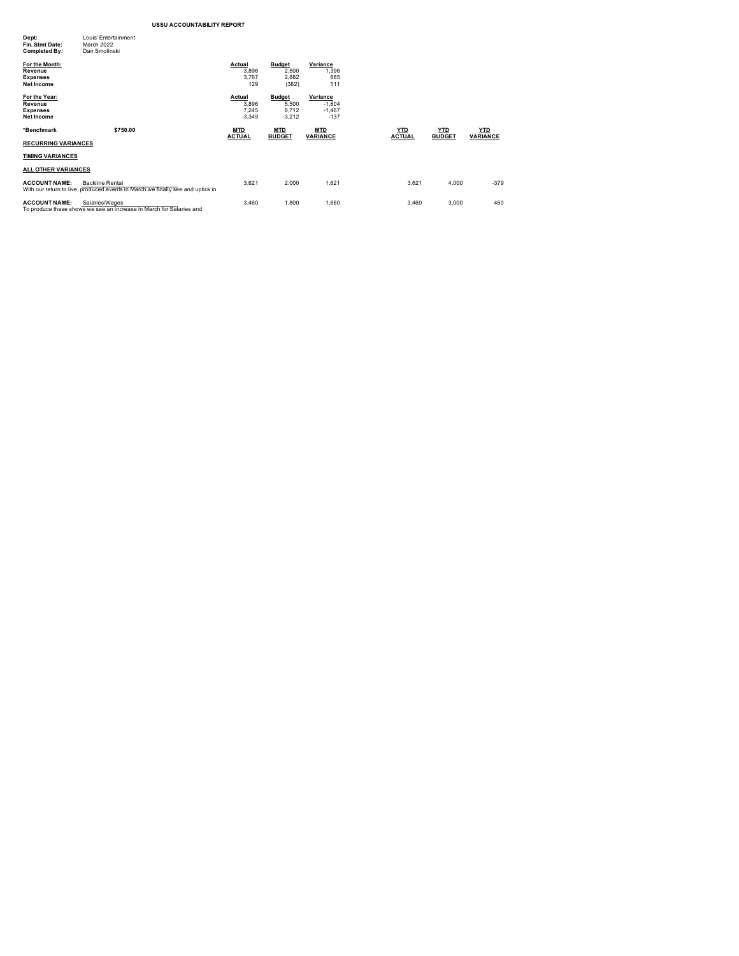| Dept:<br>Fin. Stmt Date:<br>Completed By:                         | Louis' Entertainment<br>March 2022<br>Dan Smolinski                                                      |                                      |                                             |                                            |                             |                             |                               |
|-------------------------------------------------------------------|----------------------------------------------------------------------------------------------------------|--------------------------------------|---------------------------------------------|--------------------------------------------|-----------------------------|-----------------------------|-------------------------------|
| For the Month:<br>Revenue<br><b>Expenses</b><br><b>Net Income</b> |                                                                                                          | Actual<br>3,896<br>3,767<br>129      | <b>Budget</b><br>2,500<br>2,882<br>(382)    | Variance<br>1,396<br>885<br>511            |                             |                             |                               |
| For the Year:<br>Revenue<br><b>Expenses</b><br><b>Net Income</b>  |                                                                                                          | Actual<br>3,896<br>7,245<br>$-3,349$ | <b>Budget</b><br>5,500<br>8.712<br>$-3,212$ | Variance<br>$-1,604$<br>$-1.467$<br>$-137$ |                             |                             |                               |
| *Benchmark                                                        | \$750.00                                                                                                 | <b>MTD</b><br><b>ACTUAL</b>          | <b>MTD</b><br><b>BUDGET</b>                 | <b>MTD</b><br><b>VARIANCE</b>              | <u>YTD</u><br><b>ACTUAL</b> | <u>YTD</u><br><b>BUDGET</b> | <b>YTD</b><br><b>VARIANCE</b> |
| <b>RECURRING VARIANCES</b>                                        |                                                                                                          |                                      |                                             |                                            |                             |                             |                               |
| <b>TIMING VARIANCES</b>                                           |                                                                                                          |                                      |                                             |                                            |                             |                             |                               |
| <b>ALL OTHER VARIANCES</b>                                        |                                                                                                          |                                      |                                             |                                            |                             |                             |                               |
| <b>ACCOUNT NAME:</b>                                              | <b>Backline Rental</b><br>With our return to live, produced events in March we finally see and uptick in | 3,621                                | 2,000                                       | 1,621                                      | 3,621                       | 4,000                       | $-379$                        |
| <b>ACCOUNT NAME:</b>                                              | Salaries/Wages<br>To produce these shows we see an increase in March for Salaries and                    | 3,460                                | 1,800                                       | 1,660                                      | 3,460                       | 3,000                       | 460                           |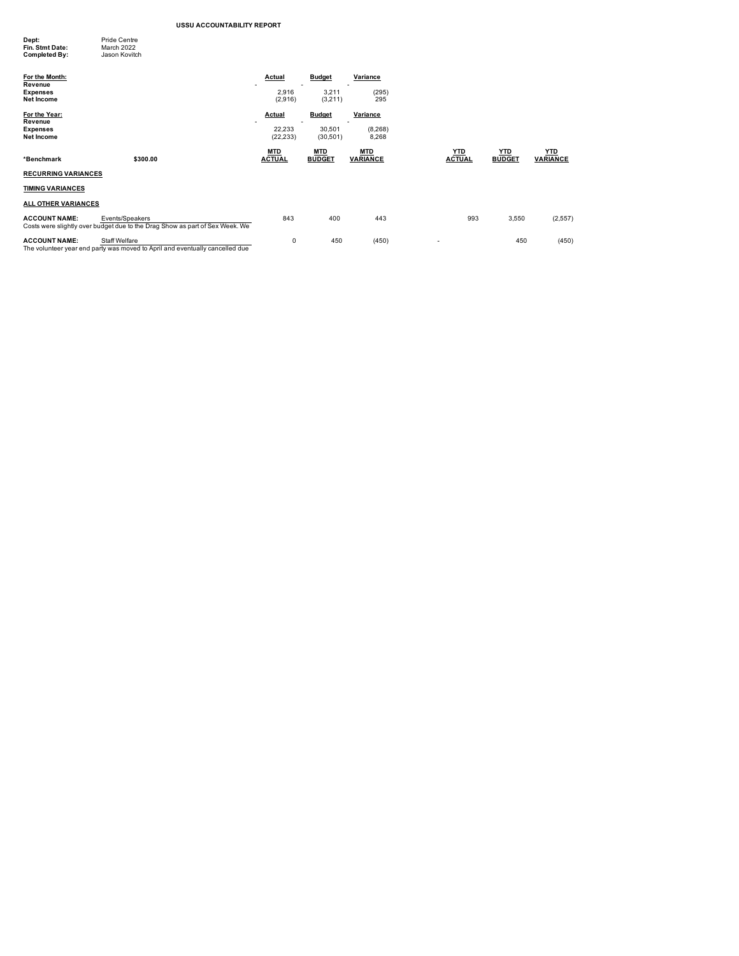| Dept:<br>Fin. Stmt Date:<br><b>Completed By:</b> | <b>Pride Centre</b><br>March 2022<br>Jason Kovitch                                              |                             |                             |                               |                             |                             |                               |
|--------------------------------------------------|-------------------------------------------------------------------------------------------------|-----------------------------|-----------------------------|-------------------------------|-----------------------------|-----------------------------|-------------------------------|
| For the Month:                                   |                                                                                                 | <b>Actual</b>               | <b>Budget</b>               | Variance                      |                             |                             |                               |
| Revenue<br><b>Expenses</b><br>Net Income         |                                                                                                 | -<br>2,916<br>(2,916)       | 3,211<br>(3,211)            | (295)<br>295                  |                             |                             |                               |
| For the Year:<br>Revenue                         |                                                                                                 | <b>Actual</b>               | <b>Budget</b>               | Variance                      |                             |                             |                               |
| <b>Expenses</b><br>Net Income                    |                                                                                                 | 22,233<br>(22, 233)         | 30,501<br>(30, 501)         | (8, 268)<br>8,268             |                             |                             |                               |
| *Benchmark                                       | \$300.00                                                                                        | <b>MTD</b><br><b>ACTUAL</b> | <b>MTD</b><br><b>BUDGET</b> | <b>MTD</b><br><b>VARIANCE</b> | <b>YTD</b><br><b>ACTUAL</b> | <u>YTD</u><br><b>BUDGET</b> | <b>YTD</b><br><b>VARIANCE</b> |
| <b>RECURRING VARIANCES</b>                       |                                                                                                 |                             |                             |                               |                             |                             |                               |
| <b>TIMING VARIANCES</b>                          |                                                                                                 |                             |                             |                               |                             |                             |                               |
| <b>ALL OTHER VARIANCES</b>                       |                                                                                                 |                             |                             |                               |                             |                             |                               |
| <b>ACCOUNT NAME:</b>                             | Events/Speakers<br>Costs were slightly over budget due to the Drag Show as part of Sex Week. We | 843                         | 400                         | 443                           | 993                         | 3,550                       | (2,557)                       |
| <b>ACCOUNT NAME:</b>                             | <b>Staff Welfare</b>                                                                            | 0                           | 450                         | (450)                         | $\overline{\phantom{a}}$    | 450                         | (450)                         |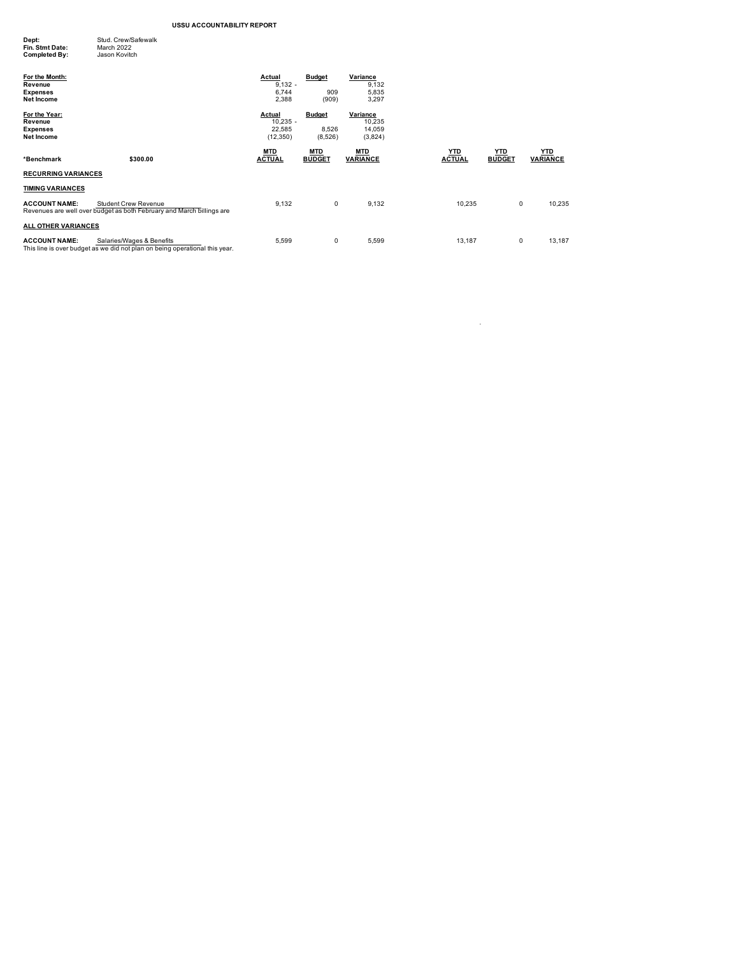| Dept:           | Stud, Crew/Safewalk |
|-----------------|---------------------|
| Fin. Stmt Date: | March 2022          |
| Completed By:   | Jason Kovitch       |
|                 |                     |

| For the Month:<br>Revenue<br><b>Expenses</b><br>Net Income |                                                                                                          | Actual<br>$9,132 -$<br>6,744<br>2,388       | <b>Budget</b><br>909<br>(909)     | Variance<br>9,132<br>5,835<br>3,297     |                             |                             |                               |
|------------------------------------------------------------|----------------------------------------------------------------------------------------------------------|---------------------------------------------|-----------------------------------|-----------------------------------------|-----------------------------|-----------------------------|-------------------------------|
| For the Year:<br>Revenue<br><b>Expenses</b><br>Net Income  |                                                                                                          | Actual<br>$10,235 -$<br>22,585<br>(12, 350) | <b>Budget</b><br>8,526<br>(8,526) | Variance<br>10,235<br>14,059<br>(3,824) |                             |                             |                               |
| *Benchmark                                                 | \$300.00                                                                                                 | <b>MTD</b><br><b>ACTUAL</b>                 | <b>MTD</b><br><b>BUDGET</b>       | <b>MTD</b><br><b>VARIANCE</b>           | <u>YTD</u><br><b>ACTUAL</b> | <u>YTD</u><br><b>BUDGET</b> | <u>YTD</u><br><b>VARIANCE</b> |
| <b>RECURRING VARIANCES</b>                                 |                                                                                                          |                                             |                                   |                                         |                             |                             |                               |
| <b>TIMING VARIANCES</b>                                    |                                                                                                          |                                             |                                   |                                         |                             |                             |                               |
| <b>ACCOUNT NAME:</b>                                       | <b>Student Crew Revenue</b><br>Revenues are well over budget as both February and March billings are     | 9,132                                       | 0                                 | 9,132                                   | 10,235                      | 0                           | 10,235                        |
| <b>ALL OTHER VARIANCES</b>                                 |                                                                                                          |                                             |                                   |                                         |                             |                             |                               |
| <b>ACCOUNT NAME:</b>                                       | Salaries/Wages & Benefits<br>This line is over budget as we did not plan on being operational this year. | 5,599                                       | 0                                 | 5,599                                   | 13,187                      | 0                           | 13,187                        |

 $\mathcal{L}_{\text{max}}$  . The second second second  $\mathcal{L}_{\text{max}}$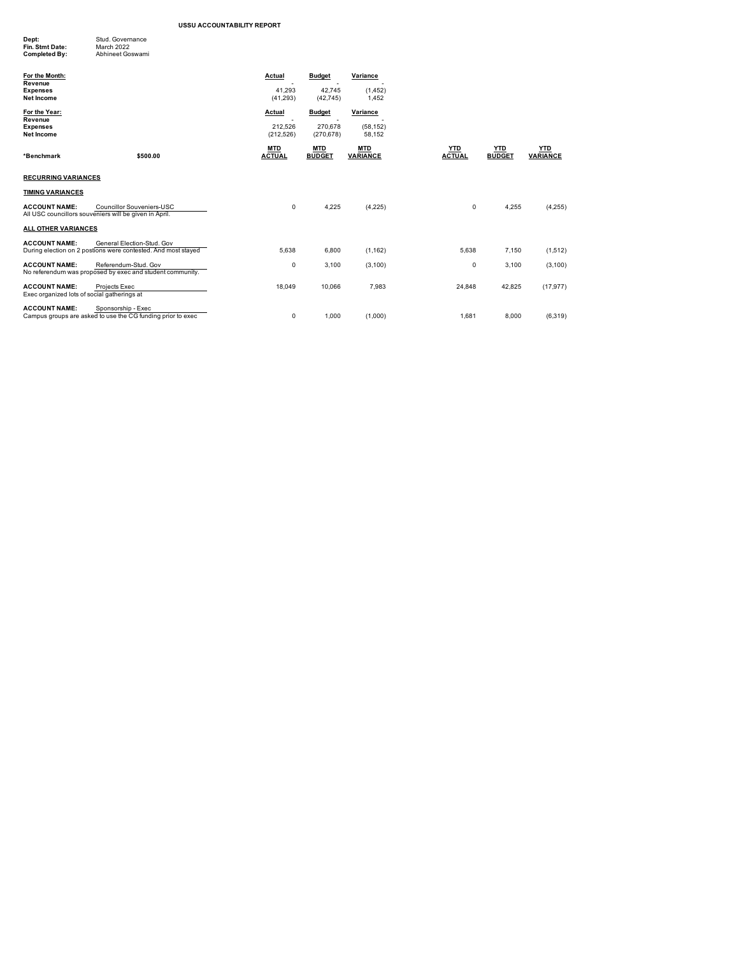| Dept:           | Stud, Governance |
|-----------------|------------------|
| Fin. Stmt Date: | March 2022       |
| Completed By:   | Abhineet Goswami |
|                 |                  |

| For the Month:<br>Revenue<br><b>Expenses</b><br><b>Net Income</b>   |                                                                                             | Actual<br>41,293<br>(41, 293) | <b>Budget</b><br>42,745<br>(42, 745) | Variance<br>(1, 452)<br>1.452 |                             |                             |                               |
|---------------------------------------------------------------------|---------------------------------------------------------------------------------------------|-------------------------------|--------------------------------------|-------------------------------|-----------------------------|-----------------------------|-------------------------------|
| For the Year:<br>Revenue                                            |                                                                                             | <b>Actual</b>                 | <b>Budget</b>                        | Variance                      |                             |                             |                               |
| <b>Expenses</b><br><b>Net Income</b>                                |                                                                                             | 212.526<br>(212, 526)         | 270.678<br>(270, 678)                | (58.152)<br>58,152            |                             |                             |                               |
| *Benchmark                                                          | \$500.00                                                                                    | <b>MTD</b><br><b>ACTUAL</b>   | <b>MTD</b><br><b>BUDGET</b>          | <b>MTD</b><br><b>VARIANCE</b> | <b>YTD</b><br><b>ACTUAL</b> | <b>YTD</b><br><b>BUDGET</b> | <b>YTD</b><br><b>VARIANCE</b> |
| <b>RECURRING VARIANCES</b>                                          |                                                                                             |                               |                                      |                               |                             |                             |                               |
| <b>TIMING VARIANCES</b>                                             |                                                                                             |                               |                                      |                               |                             |                             |                               |
| <b>ACCOUNT NAME:</b>                                                | <b>Councillor Souveniers-USC</b><br>All USC councillors souveniers will be given in April.  | 0                             | 4,225                                | (4,225)                       | 0                           | 4,255                       | (4,255)                       |
| <b>ALL OTHER VARIANCES</b>                                          |                                                                                             |                               |                                      |                               |                             |                             |                               |
| <b>ACCOUNT NAME:</b>                                                | General Election-Stud, Gov<br>During election on 2 postions were contested. And most stayed | 5.638                         | 6,800                                | (1, 162)                      | 5.638                       | 7.150                       | (1,512)                       |
| <b>ACCOUNT NAME:</b>                                                | Referendum-Stud, Gov<br>No referendum was proposed by exec and student community.           | 0                             | 3,100                                | (3, 100)                      | 0                           | 3,100                       | (3, 100)                      |
| <b>ACCOUNT NAME:</b><br>Exec organized lots of social gatherings at | Projects Exec                                                                               | 18.049                        | 10,066                               | 7,983                         | 24,848                      | 42.825                      | (17, 977)                     |
| <b>ACCOUNT NAME:</b>                                                | Sponsorship - Exec<br>Campus groups are asked to use the CG funding prior to exec           | 0                             | 1.000                                | (1.000)                       | 1.681                       | 8,000                       | (6, 319)                      |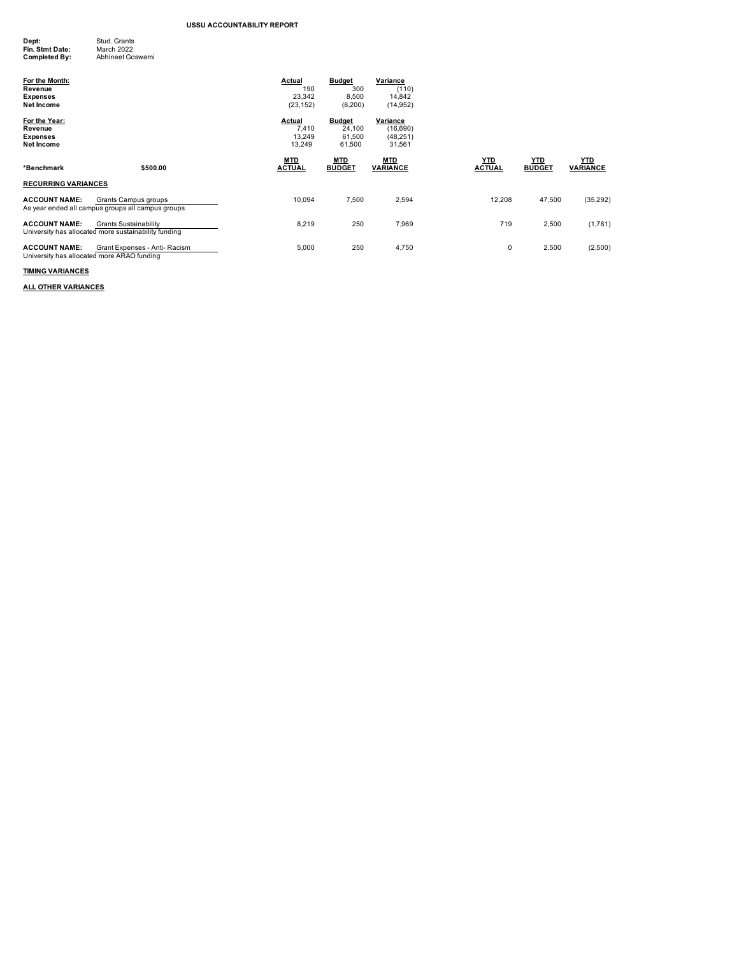| Dept:           | Stud, Grants     |
|-----------------|------------------|
| Fin. Stmt Date: | March 2022       |
| Completed By:   | Abhineet Goswami |

| For the Month:<br>Revenue<br><b>Expenses</b><br><b>Net Income</b>  |                                                                                      | Actual<br>190<br>23,342<br>(23, 152) | <b>Budget</b><br>300<br>8,500<br>(8,200)    | Variance<br>(110)<br>14,842<br>(14, 952)    |                             |                             |                               |
|--------------------------------------------------------------------|--------------------------------------------------------------------------------------|--------------------------------------|---------------------------------------------|---------------------------------------------|-----------------------------|-----------------------------|-------------------------------|
| For the Year:<br>Revenue<br><b>Expenses</b><br><b>Net Income</b>   |                                                                                      | Actual<br>7,410<br>13,249<br>13,249  | <b>Budget</b><br>24,100<br>61,500<br>61.500 | Variance<br>(16,690)<br>(48, 251)<br>31,561 |                             |                             |                               |
| *Benchmark                                                         | \$500.00                                                                             | <b>MTD</b><br><b>ACTUAL</b>          | <b>MTD</b><br><b>BUDGET</b>                 | <b>MTD</b><br><b>VARIANCE</b>               | <u>YTD</u><br><b>ACTUAL</b> | <b>YTD</b><br><b>BUDGET</b> | <b>YTD</b><br><b>VARIANCE</b> |
| <b>RECURRING VARIANCES</b>                                         |                                                                                      |                                      |                                             |                                             |                             |                             |                               |
| <b>ACCOUNT NAME:</b>                                               | Grants Campus groups<br>As year ended all campus groups all campus groups            | 10,094                               | 7,500                                       | 2,594                                       | 12,208                      | 47,500                      | (35, 292)                     |
| <b>ACCOUNT NAME:</b>                                               | <b>Grants Sustainability</b><br>University has allocated more sustainability funding | 8,219                                | 250                                         | 7,969                                       | 719                         | 2,500                       | (1,781)                       |
| <b>ACCOUNT NAME:</b><br>University has allocated more ARAO funding | Grant Expenses - Anti- Racism                                                        | 5,000                                | 250                                         | 4,750                                       | 0                           | 2,500                       | (2,500)                       |

# **TIMING VARIANCES**

**ALL OTHER VARIANCES**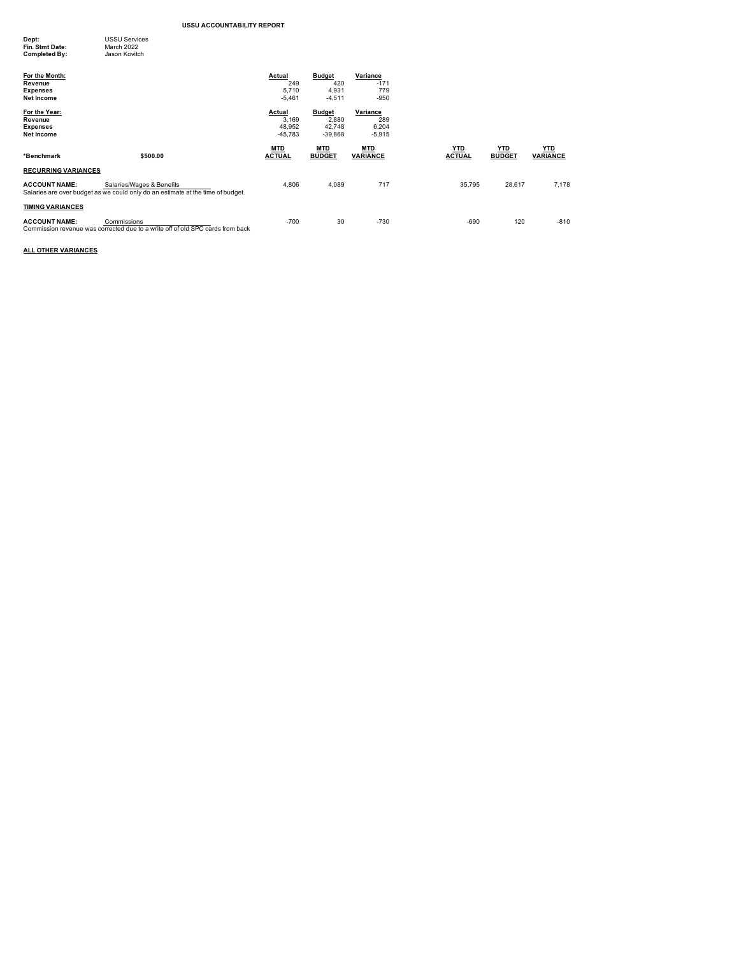| Dept:           | <b>USSU Services</b> |
|-----------------|----------------------|
| Fin. Stmt Date: | March 2022           |
| Completed By:   | Jason Kovitch        |
|                 |                      |
|                 |                      |

| For the Month:<br>Revenue<br><b>Expenses</b><br><b>Net Income</b><br>For the Year:<br>Revenue |                                                                                                              | Actual<br>249<br>5.710<br>$-5,461$<br>Actual<br>3.169 | <b>Budget</b><br>420<br>4,931<br>$-4,511$<br><b>Budget</b><br>2,880 | Variance<br>$-171$<br>779<br>$-950$<br>Variance<br>289 |               |               |                 |
|-----------------------------------------------------------------------------------------------|--------------------------------------------------------------------------------------------------------------|-------------------------------------------------------|---------------------------------------------------------------------|--------------------------------------------------------|---------------|---------------|-----------------|
| <b>Expenses</b><br><b>Net Income</b>                                                          |                                                                                                              | 48,952<br>$-45.783$<br><b>MTD</b>                     | 42,748<br>$-39.868$<br><b>MTD</b>                                   | 6,204<br>$-5,915$<br><b>MTD</b>                        | <b>YTD</b>    | <b>YTD</b>    | <b>YTD</b>      |
| *Benchmark                                                                                    | \$500.00                                                                                                     | <b>ACTUAL</b>                                         | <b>BUDGET</b>                                                       | <b>VARIANCE</b>                                        | <b>ACTUAL</b> | <b>BUDGET</b> | <b>VARIANCE</b> |
| <b>RECURRING VARIANCES</b>                                                                    |                                                                                                              |                                                       |                                                                     |                                                        |               |               |                 |
| <b>ACCOUNT NAME:</b>                                                                          | Salaries/Wages & Benefits<br>Salaries are over budget as we could only do an estimate at the time of budget. | 4,806                                                 | 4,089                                                               | 717                                                    | 35,795        | 28,617        | 7,178           |
| <b>TIMING VARIANCES</b>                                                                       |                                                                                                              |                                                       |                                                                     |                                                        |               |               |                 |
| <b>ACCOUNT NAME:</b>                                                                          | Commissions<br>Commission revenue was corrected due to a write off of old SPC cards from back                | $-700$                                                | 30                                                                  | $-730$                                                 | $-690$        | 120           | $-810$          |

**ALL OTHER VARIANCES**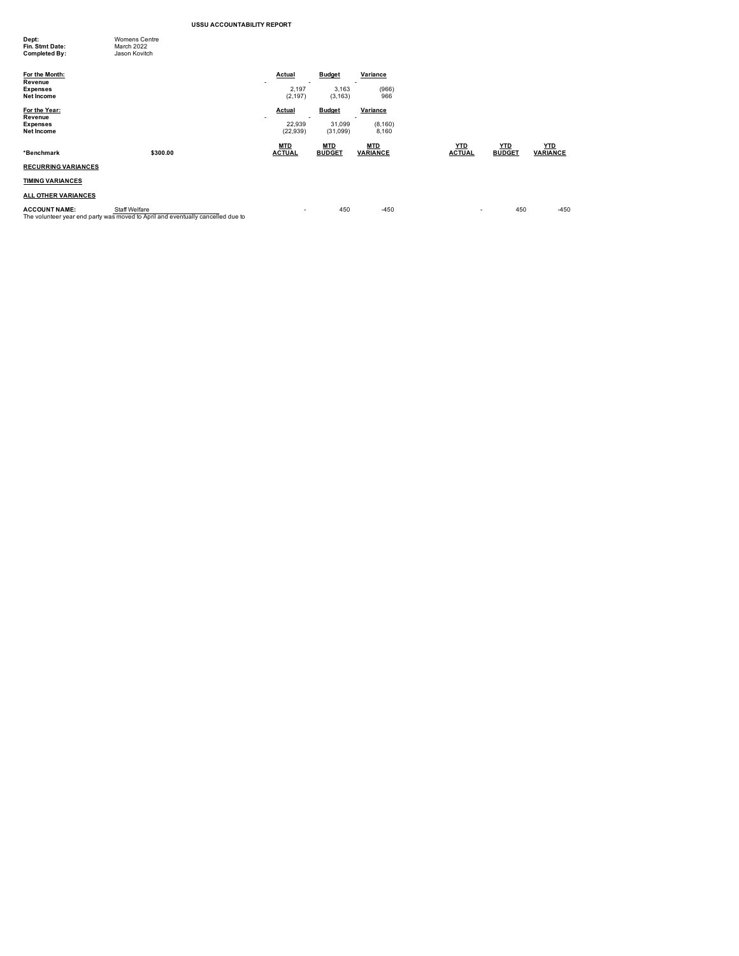| Dept:<br>Fin. Stmt Date:  | <b>Womens Centre</b><br>March 2022 |                 |               |          |
|---------------------------|------------------------------------|-----------------|---------------|----------|
| Completed By:             | Jason Kovitch                      |                 |               |          |
| For the Month:<br>Revenue |                                    | Actual          | <b>Budget</b> | Variance |
| <b>Expenses</b>           |                                    | ۰<br>-<br>2.197 | 3.163         | (966)    |
| Net Income                |                                    | (2, 197)        | (3, 163)      | 966      |
| For the Year:             |                                    | Actual          | <b>Budget</b> | Variance |
| Revenue                   |                                    | -<br>۰          |               | ۰        |
| <b>Expenses</b>           |                                    | 22.939          | 31.099        | (8, 160) |
| Net Income                |                                    | (22.939)        | (31,099)      | 8.160    |

# **MTD MTD MTD YTD YTD YTD \*Benchmark \$300.00 ACTUAL BUDGET VARIANCE ACTUAL BUDGET VARIANCE RECURRING VARIANCES**

**TIMING VARIANCES**

#### **ALL OTHER VARIANCES**

**ACCOUNT NAME:** Staff Welfare - 5 - 450 - 450 - 450 - 450 - 450 - 450 - 450 - 450 - 450 - 450 - 450<br>The volunteer year end party was moved to April and eventually cancelled due to